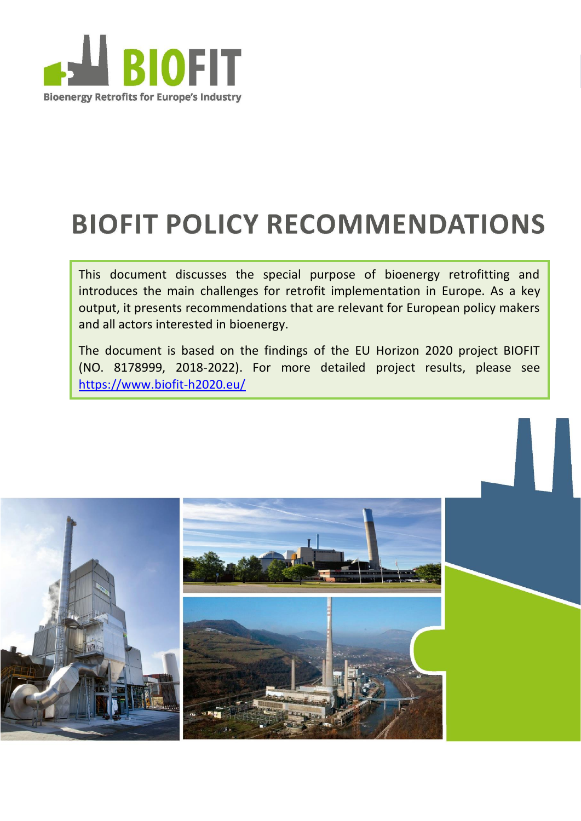

# **BIOFIT POLICY RECOMMENDATIONS**

This document discusses the special purpose of bioenergy retrofitting and introduces the main challenges for retrofit implementation in Europe. As a key output, it presents recommendations that are relevant for European policy makers and all actors interested in bioenergy.

The document is based on the findings of the EU Horizon 2020 project BIOFIT (NO. 8178999, 2018-2022). For more detailed project results, please see <https://www.biofit-h2020.eu/>

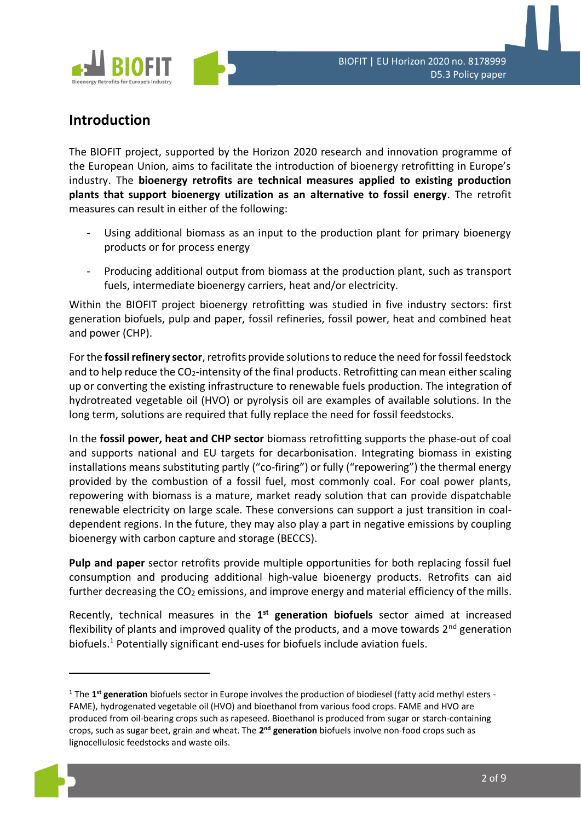

## **Introduction**

The BIOFIT project, supported by the Horizon 2020 research and innovation programme of the European Union, aims to facilitate the introduction of bioenergy retrofitting in Europe's industry. The **bioenergy retrofits are technical measures applied to existing production plants that support bioenergy utilization as an alternative to fossil energy**. The retrofit measures can result in either of the following:

- Using additional biomass as an input to the production plant for primary bioenergy products or for process energy
- Producing additional output from biomass at the production plant, such as transport fuels, intermediate bioenergy carriers, heat and/or electricity.

Within the BIOFIT project bioenergy retrofitting was studied in five industry sectors: first generation biofuels, pulp and paper, fossil refineries, fossil power, heat and combined heat and power (CHP).

For the **fossil refinery sector**, retrofits provide solutions to reduce the need for fossil feedstock and to help reduce the  $CO<sub>2</sub>$ -intensity of the final products. Retrofitting can mean either scaling up or converting the existing infrastructure to renewable fuels production. The integration of hydrotreated vegetable oil (HVO) or pyrolysis oil are examples of available solutions. In the long term, solutions are required that fully replace the need for fossil feedstocks.

In the **fossil power, heat and CHP sector** biomass retrofitting supports the phase-out of coal and supports national and EU targets for decarbonisation. Integrating biomass in existing installations means substituting partly ("co-firing") or fully ("repowering") the thermal energy provided by the combustion of a fossil fuel, most commonly coal. For coal power plants, repowering with biomass is a mature, market ready solution that can provide dispatchable renewable electricity on large scale. These conversions can support a just transition in coaldependent regions. In the future, they may also play a part in negative emissions by coupling bioenergy with carbon capture and storage (BECCS).

**Pulp and paper** sector retrofits provide multiple opportunities for both replacing fossil fuel consumption and producing additional high-value bioenergy products. Retrofits can aid further decreasing the  $CO<sub>2</sub>$  emissions, and improve energy and material efficiency of the mills.

Recently, technical measures in the 1<sup>st</sup> generation biofuels sector aimed at increased flexibility of plants and improved quality of the products, and a move towards  $2^{nd}$  generation biofuels.<sup>1</sup> Potentially significant end-uses for biofuels include aviation fuels.

<sup>&</sup>lt;sup>1</sup> The 1<sup>st</sup> generation biofuels sector in Europe involves the production of biodiesel (fatty acid methyl esters -FAME), hydrogenated vegetable oil (HVO) and bioethanol from various food crops. FAME and HVO are produced from oil-bearing crops such as rapeseed. Bioethanol is produced from sugar or starch-containing crops, such as sugar beet, grain and wheat. The 2<sup>nd</sup> generation biofuels involve non-food crops such as lignocellulosic feedstocks and waste oils.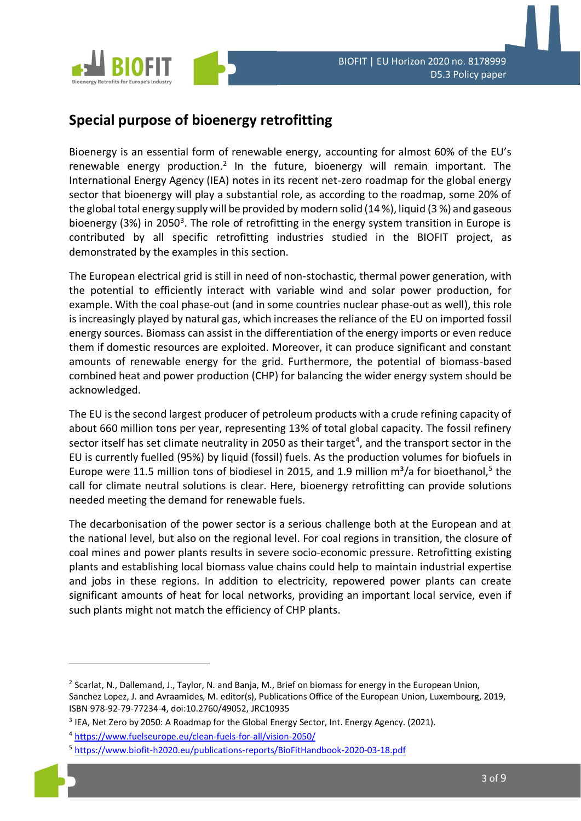

## **Special purpose of bioenergy retrofitting**

Bioenergy is an essential form of renewable energy, accounting for almost 60% of the EU's renewable energy production.<sup>2</sup> In the future, bioenergy will remain important. The International Energy Agency (IEA) notes in its recent net-zero roadmap for the global energy sector that bioenergy will play a substantial role, as according to the roadmap, some 20% of the global total energy supply will be provided by modern solid (14 %), liquid (3 %) and gaseous bioenergy (3%) in 2050<sup>3</sup>. The role of retrofitting in the energy system transition in Europe is contributed by all specific retrofitting industries studied in the BIOFIT project, as demonstrated by the examples in this section.

The European electrical grid is still in need of non-stochastic, thermal power generation, with the potential to efficiently interact with variable wind and solar power production, for example. With the coal phase-out (and in some countries nuclear phase-out as well), this role is increasingly played by natural gas, which increases the reliance of the EU on imported fossil energy sources. Biomass can assist in the differentiation of the energy imports or even reduce them if domestic resources are exploited. Moreover, it can produce significant and constant amounts of renewable energy for the grid. Furthermore, the potential of biomass-based combined heat and power production (CHP) for balancing the wider energy system should be acknowledged.

The EU is the second largest producer of petroleum products with a crude refining capacity of about 660 million tons per year, representing 13% of total global capacity. The fossil refinery sector itself has set climate neutrality in 2050 as their target<sup>4</sup>, and the transport sector in the EU is currently fuelled (95%) by liquid (fossil) fuels. As the production volumes for biofuels in Europe were 11.5 million tons of biodiesel in 2015, and 1.9 million  $m^3/a$  for bioethanol,<sup>5</sup> the call for climate neutral solutions is clear. Here, bioenergy retrofitting can provide solutions needed meeting the demand for renewable fuels.

The decarbonisation of the power sector is a serious challenge both at the European and at the national level, but also on the regional level. For coal regions in transition, the closure of coal mines and power plants results in severe socio-economic pressure. Retrofitting existing plants and establishing local biomass value chains could help to maintain industrial expertise and jobs in these regions. In addition to electricity, repowered power plants can create significant amounts of heat for local networks, providing an important local service, even if such plants might not match the efficiency of CHP plants.

<sup>&</sup>lt;sup>2</sup> Scarlat, N., Dallemand, J., Taylor, N. and Banja, M., Brief on biomass for energy in the European Union, Sanchez Lopez, J. and Avraamides, M. editor(s), Publications Office of the European Union, Luxembourg, 2019, ISBN 978-92-79-77234-4, doi:10.2760/49052, JRC10935

<sup>&</sup>lt;sup>3</sup> IEA, Net Zero by 2050: A Roadmap for the Global Energy Sector, Int. Energy Agency. (2021).

<sup>4</sup> <https://www.fuelseurope.eu/clean-fuels-for-all/vision-2050/>

<sup>5</sup> <https://www.biofit-h2020.eu/publications-reports/BioFitHandbook-2020-03-18.pdf>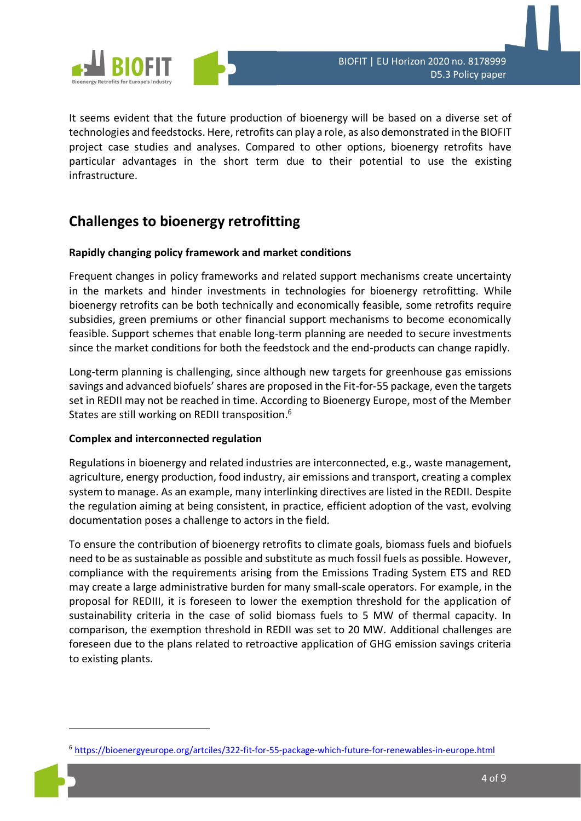

It seems evident that the future production of bioenergy will be based on a diverse set of technologies and feedstocks. Here, retrofits can play a role, as also demonstrated in the BIOFIT project case studies and analyses. Compared to other options, bioenergy retrofits have particular advantages in the short term due to their potential to use the existing infrastructure.

## **Challenges to bioenergy retrofitting**

#### **Rapidly changing policy framework and market conditions**

Frequent changes in policy frameworks and related support mechanisms create uncertainty in the markets and hinder investments in technologies for bioenergy retrofitting. While bioenergy retrofits can be both technically and economically feasible, some retrofits require subsidies, green premiums or other financial support mechanisms to become economically feasible. Support schemes that enable long-term planning are needed to secure investments since the market conditions for both the feedstock and the end-products can change rapidly.

Long-term planning is challenging, since although new targets for greenhouse gas emissions savings and advanced biofuels' shares are proposed in the Fit-for-55 package, even the targets set in REDII may not be reached in time. According to Bioenergy Europe, most of the Member States are still working on REDII transposition.<sup>6</sup>

#### **Complex and interconnected regulation**

Regulations in bioenergy and related industries are interconnected, e.g., waste management, agriculture, energy production, food industry, air emissions and transport, creating a complex system to manage. As an example, many interlinking directives are listed in the REDII. Despite the regulation aiming at being consistent, in practice, efficient adoption of the vast, evolving documentation poses a challenge to actors in the field.

To ensure the contribution of bioenergy retrofits to climate goals, biomass fuels and biofuels need to be as sustainable as possible and substitute as much fossil fuels as possible. However, compliance with the requirements arising from the Emissions Trading System ETS and RED may create a large administrative burden for many small-scale operators. For example, in the proposal for REDIII, it is foreseen to lower the exemption threshold for the application of sustainability criteria in the case of solid biomass fuels to 5 MW of thermal capacity. In comparison, the exemption threshold in REDII was set to 20 MW. Additional challenges are foreseen due to the plans related to retroactive application of GHG emission savings criteria to existing plants.

<sup>&</sup>lt;sup>6</sup> <https://bioenergyeurope.org/artciles/322-fit-for-55-package-which-future-for-renewables-in-europe.html>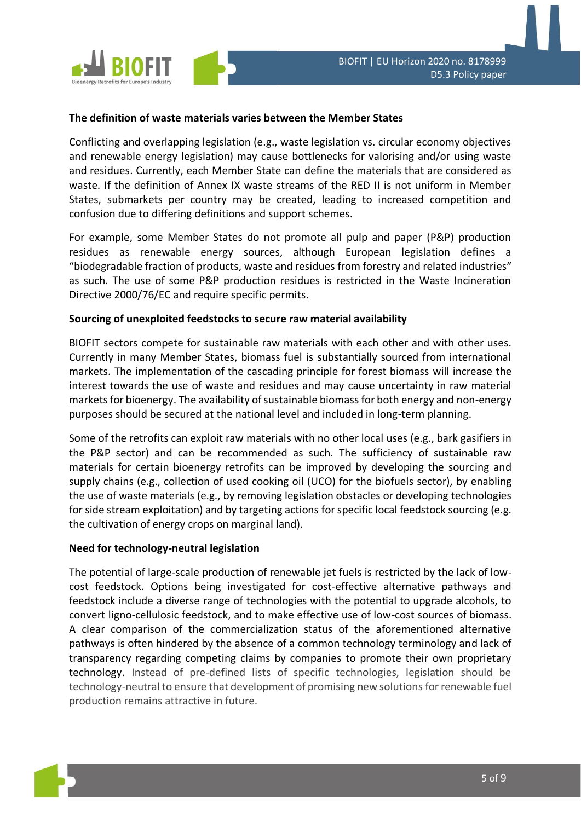

#### **The definition of waste materials varies between the Member States**

Conflicting and overlapping legislation (e.g., waste legislation vs. circular economy objectives and renewable energy legislation) may cause bottlenecks for valorising and/or using waste and residues. Currently, each Member State can define the materials that are considered as waste. If the definition of Annex IX waste streams of the RED II is not uniform in Member States, submarkets per country may be created, leading to increased competition and confusion due to differing definitions and support schemes.

For example, some Member States do not promote all pulp and paper (P&P) production residues as renewable energy sources, although European legislation defines a "biodegradable fraction of products, waste and residues from forestry and related industries" as such. The use of some P&P production residues is restricted in the Waste Incineration Directive 2000/76/EC and require specific permits.

#### **Sourcing of unexploited feedstocks to secure raw material availability**

BIOFIT sectors compete for sustainable raw materials with each other and with other uses. Currently in many Member States, biomass fuel is substantially sourced from international markets. The implementation of the cascading principle for forest biomass will increase the interest towards the use of waste and residues and may cause uncertainty in raw material markets for bioenergy. The availability of sustainable biomass for both energy and non-energy purposes should be secured at the national level and included in long-term planning.

Some of the retrofits can exploit raw materials with no other local uses (e.g., bark gasifiers in the P&P sector) and can be recommended as such. The sufficiency of sustainable raw materials for certain bioenergy retrofits can be improved by developing the sourcing and supply chains (e.g., collection of used cooking oil (UCO) for the biofuels sector), by enabling the use of waste materials (e.g., by removing legislation obstacles or developing technologies for side stream exploitation) and by targeting actions for specific local feedstock sourcing (e.g. the cultivation of energy crops on marginal land).

#### **Need for technology-neutral legislation**

The potential of large-scale production of renewable jet fuels is restricted by the lack of lowcost feedstock. Options being investigated for cost-effective alternative pathways and feedstock include a diverse range of technologies with the potential to upgrade alcohols, to convert ligno-cellulosic feedstock, and to make effective use of low-cost sources of biomass. A clear comparison of the commercialization status of the aforementioned alternative pathways is often hindered by the absence of a common technology terminology and lack of transparency regarding competing claims by companies to promote their own proprietary technology. Instead of pre-defined lists of specific technologies, legislation should be technology-neutral to ensure that development of promising new solutions for renewable fuel production remains attractive in future.

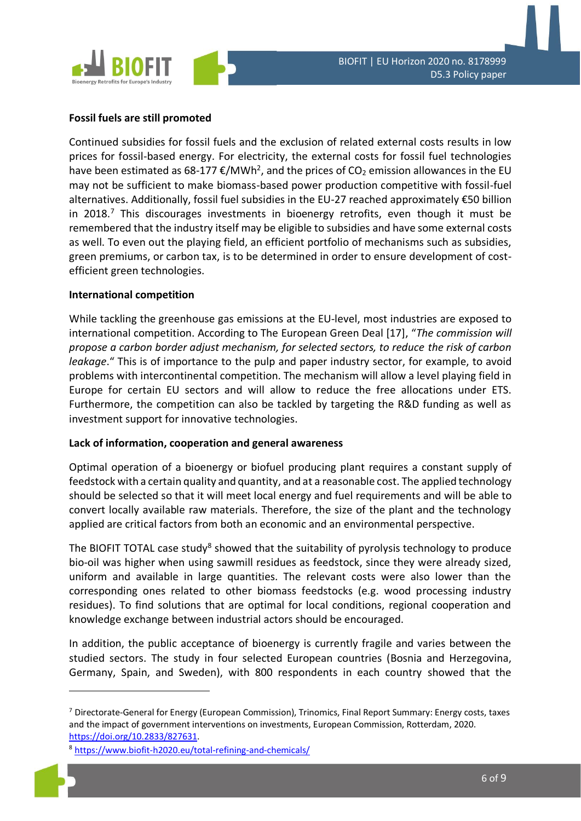

#### **Fossil fuels are still promoted**

Continued subsidies for fossil fuels and the exclusion of related external costs results in low prices for fossil-based energy. For electricity, the external costs for fossil fuel technologies have been estimated as 68-177  $\epsilon$ /MWh<sup>2</sup>, and the prices of CO<sub>2</sub> emission allowances in the EU may not be sufficient to make biomass-based power production competitive with fossil-fuel alternatives. Additionally, fossil fuel subsidies in the EU-27 reached approximately €50 billion in 2018.<sup>7</sup> This discourages investments in bioenergy retrofits, even though it must be remembered that the industry itself may be eligible to subsidies and have some external costs as well. To even out the playing field, an efficient portfolio of mechanisms such as subsidies, green premiums, or carbon tax, is to be determined in order to ensure development of costefficient green technologies.

#### **International competition**

While tackling the greenhouse gas emissions at the EU-level, most industries are exposed to international competition. According to The European Green Deal [17], "*The commission will propose a carbon border adjust mechanism, for selected sectors, to reduce the risk of carbon leakage*." This is of importance to the pulp and paper industry sector, for example, to avoid problems with intercontinental competition. The mechanism will allow a level playing field in Europe for certain EU sectors and will allow to reduce the free allocations under ETS. Furthermore, the competition can also be tackled by targeting the R&D funding as well as investment support for innovative technologies.

#### **Lack of information, cooperation and general awareness**

Optimal operation of a bioenergy or biofuel producing plant requires a constant supply of feedstock with a certain quality and quantity, and at a reasonable cost. The applied technology should be selected so that it will meet local energy and fuel requirements and will be able to convert locally available raw materials. Therefore, the size of the plant and the technology applied are critical factors from both an economic and an environmental perspective.

The BIOFIT TOTAL case study<sup>8</sup> showed that the suitability of pyrolysis technology to produce bio-oil was higher when using sawmill residues as feedstock, since they were already sized, uniform and available in large quantities. The relevant costs were also lower than the corresponding ones related to other biomass feedstocks (e.g. wood processing industry residues). To find solutions that are optimal for local conditions, regional cooperation and knowledge exchange between industrial actors should be encouraged.

In addition, the public acceptance of bioenergy is currently fragile and varies between the studied sectors. The study in four selected European countries (Bosnia and Herzegovina, Germany, Spain, and Sweden), with 800 respondents in each country showed that the

<sup>7</sup> Directorate-General for Energy (European Commission), Trinomics, Final Report Summary: Energy costs, taxes and the impact of government interventions on investments, European Commission, Rotterdam, 2020. [https://doi.org/10.2833/827631.](https://doi.org/10.2833/827631)

<sup>8</sup> <https://www.biofit-h2020.eu/total-refining-and-chemicals/>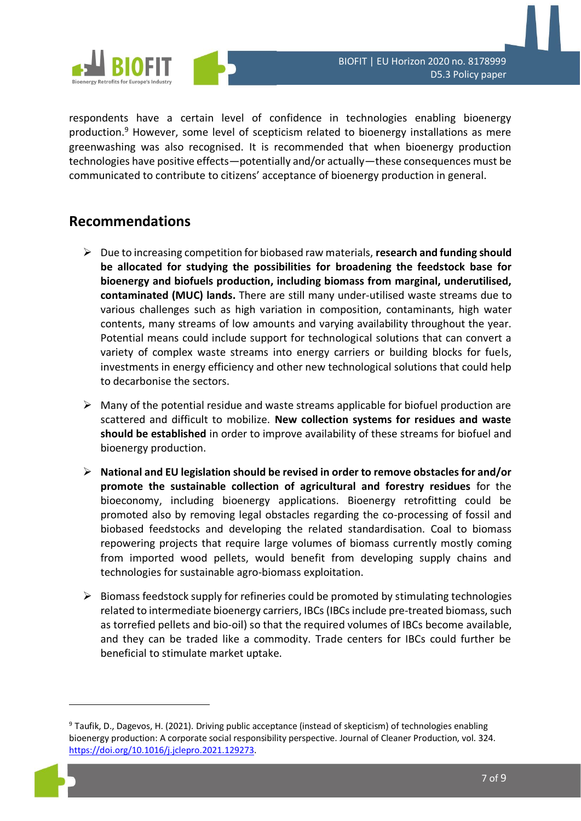

respondents have a certain level of confidence in technologies enabling bioenergy production. <sup>9</sup> However, some level of scepticism related to bioenergy installations as mere greenwashing was also recognised. It is recommended that when bioenergy production technologies have positive effects—potentially and/or actually—these consequences must be communicated to contribute to citizens' acceptance of bioenergy production in general.

### **Recommendations**

- ➢ Due to increasing competition for biobased raw materials, **research and funding should be allocated for studying the possibilities for broadening the feedstock base for bioenergy and biofuels production, including biomass from marginal, underutilised, contaminated (MUC) lands.** There are still many under-utilised waste streams due to various challenges such as high variation in composition, contaminants, high water contents, many streams of low amounts and varying availability throughout the year. Potential means could include support for technological solutions that can convert a variety of complex waste streams into energy carriers or building blocks for fuels, investments in energy efficiency and other new technological solutions that could help to decarbonise the sectors.
- $\triangleright$  Many of the potential residue and waste streams applicable for biofuel production are scattered and difficult to mobilize. **New collection systems for residues and waste should be established** in order to improve availability of these streams for biofuel and bioenergy production.
- ➢ **National and EU legislation should be revised in order to remove obstacles for and/or promote the sustainable collection of agricultural and forestry residues** for the bioeconomy, including bioenergy applications. Bioenergy retrofitting could be promoted also by removing legal obstacles regarding the co-processing of fossil and biobased feedstocks and developing the related standardisation. Coal to biomass repowering projects that require large volumes of biomass currently mostly coming from imported wood pellets, would benefit from developing supply chains and technologies for sustainable agro-biomass exploitation.
- $\triangleright$  Biomass feedstock supply for refineries could be promoted by stimulating technologies related to intermediate bioenergy carriers, IBCs (IBCs include pre-treated biomass, such as torrefied pellets and bio-oil) so that the required volumes of IBCs become available, and they can be traded like a commodity. Trade centers for IBCs could further be beneficial to stimulate market uptake.

<sup>9</sup> Taufik, D., Dagevos, H. (2021). Driving public acceptance (instead of skepticism) of technologies enabling bioenergy production: A corporate social responsibility perspective. Journal of Cleaner Production, vol. 324. [https://doi.org/10.1016/j.jclepro.2021.129273.](https://doi.org/10.1016/j.jclepro.2021.129273)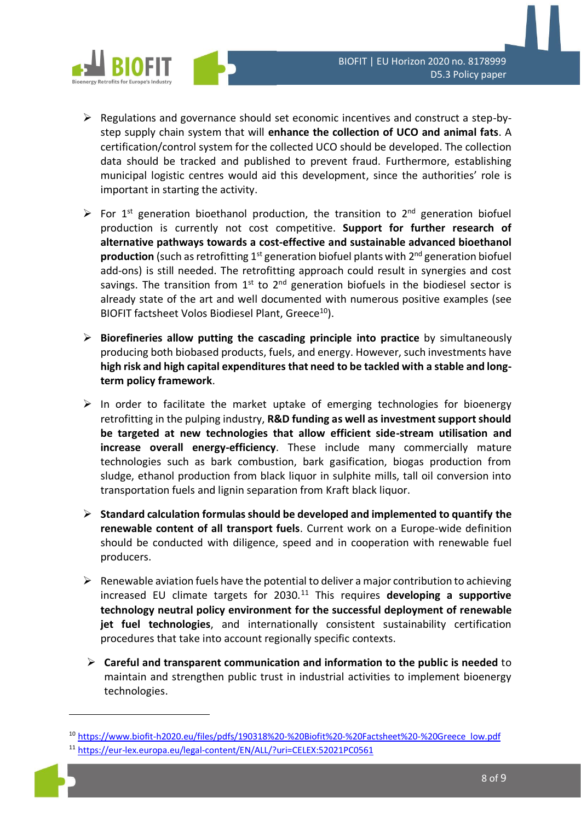

- ➢ Regulations and governance should set economic incentives and construct a step-bystep supply chain system that will **enhance the collection of UCO and animal fats**. A certification/control system for the collected UCO should be developed. The collection data should be tracked and published to prevent fraud. Furthermore, establishing municipal logistic centres would aid this development, since the authorities' role is important in starting the activity.
- $\triangleright$  For 1<sup>st</sup> generation bioethanol production, the transition to 2<sup>nd</sup> generation biofuel production is currently not cost competitive. **Support for further research of alternative pathways towards a cost-effective and sustainable advanced bioethanol**  production (such as retrofitting 1<sup>st</sup> generation biofuel plants with 2<sup>nd</sup> generation biofuel add-ons) is still needed. The retrofitting approach could result in synergies and cost savings. The transition from  $1<sup>st</sup>$  to  $2<sup>nd</sup>$  generation biofuels in the biodiesel sector is already state of the art and well documented with numerous positive examples (see BIOFIT factsheet Volos Biodiesel Plant, Greece<sup>10</sup>).
- ➢ **Biorefineries allow putting the cascading principle into practice** by simultaneously producing both biobased products, fuels, and energy. However, such investments have **high risk and high capital expenditures that need to be tackled with a stable and longterm policy framework**.
- ➢ In order to facilitate the market uptake of emerging technologies for bioenergy retrofitting in the pulping industry, **R&D funding as well as investment support should be targeted at new technologies that allow efficient side-stream utilisation and increase overall energy-efficiency**. These include many commercially mature technologies such as bark combustion, bark gasification, biogas production from sludge, ethanol production from black liquor in sulphite mills, tall oil conversion into transportation fuels and lignin separation from Kraft black liquor.
- ➢ **Standard calculation formulas should be developed and implemented to quantify the renewable content of all transport fuels**. Current work on a Europe-wide definition should be conducted with diligence, speed and in cooperation with renewable fuel producers.
- ➢ Renewable aviation fuels have the potential to deliver a major contribution to achieving increased EU climate targets for 2030.<sup>11</sup> This requires **developing a supportive technology neutral policy environment for the successful deployment of renewable jet fuel technologies**, and internationally consistent sustainability certification procedures that take into account regionally specific contexts.
- ➢ **Careful and transparent communication and information to the public is needed** to maintain and strengthen public trust in industrial activities to implement bioenergy technologies.

<sup>10</sup> [https://www.biofit-h2020.eu/files/pdfs/190318%20-%20Biofit%20-%20Factsheet%20-%20Greece\\_low.pdf](https://www.biofit-h2020.eu/files/pdfs/190318%20-%20Biofit%20-%20Factsheet%20-%20Greece_low.pdf)

<sup>11</sup> <https://eur-lex.europa.eu/legal-content/EN/ALL/?uri=CELEX:52021PC0561>